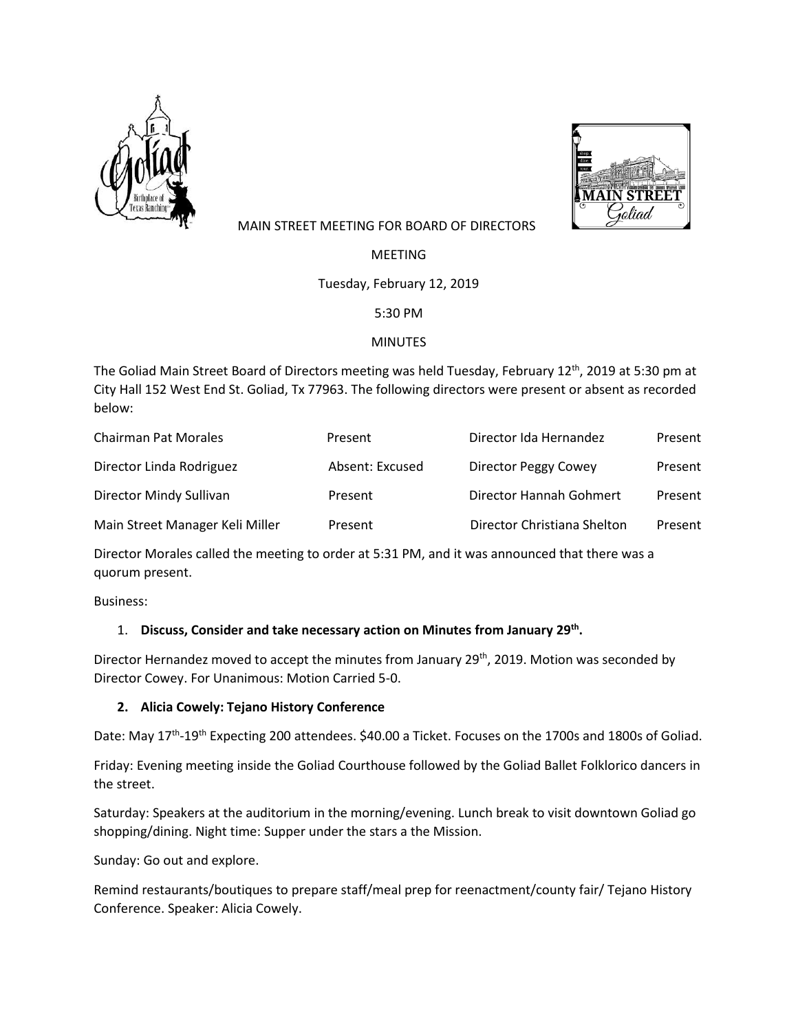



## MAIN STREET MEETING FOR BOARD OF DIRECTORS

MEETING

Tuesday, February 12, 2019

5:30 PM

## MINUTES

The Goliad Main Street Board of Directors meeting was held Tuesday, February 12<sup>th</sup>, 2019 at 5:30 pm at City Hall 152 West End St. Goliad, Tx 77963. The following directors were present or absent as recorded below:

| <b>Chairman Pat Morales</b>     | Present         | Director Ida Hernandez      | Present |
|---------------------------------|-----------------|-----------------------------|---------|
| Director Linda Rodriguez        | Absent: Excused | Director Peggy Cowey        | Present |
| Director Mindy Sullivan         | Present         | Director Hannah Gohmert     | Present |
| Main Street Manager Keli Miller | Present         | Director Christiana Shelton | Present |

Director Morales called the meeting to order at 5:31 PM, and it was announced that there was a quorum present.

Business:

# 1. **Discuss, Consider and take necessary action on Minutes from January 29th.**

Director Hernandez moved to accept the minutes from January 29<sup>th</sup>, 2019. Motion was seconded by Director Cowey. For Unanimous: Motion Carried 5-0.

# **2. Alicia Cowely: Tejano History Conference**

Date: May 17<sup>th</sup>-19<sup>th</sup> Expecting 200 attendees. \$40.00 a Ticket. Focuses on the 1700s and 1800s of Goliad.

Friday: Evening meeting inside the Goliad Courthouse followed by the Goliad Ballet Folklorico dancers in the street.

Saturday: Speakers at the auditorium in the morning/evening. Lunch break to visit downtown Goliad go shopping/dining. Night time: Supper under the stars a the Mission.

Sunday: Go out and explore.

Remind restaurants/boutiques to prepare staff/meal prep for reenactment/county fair/ Tejano History Conference. Speaker: Alicia Cowely.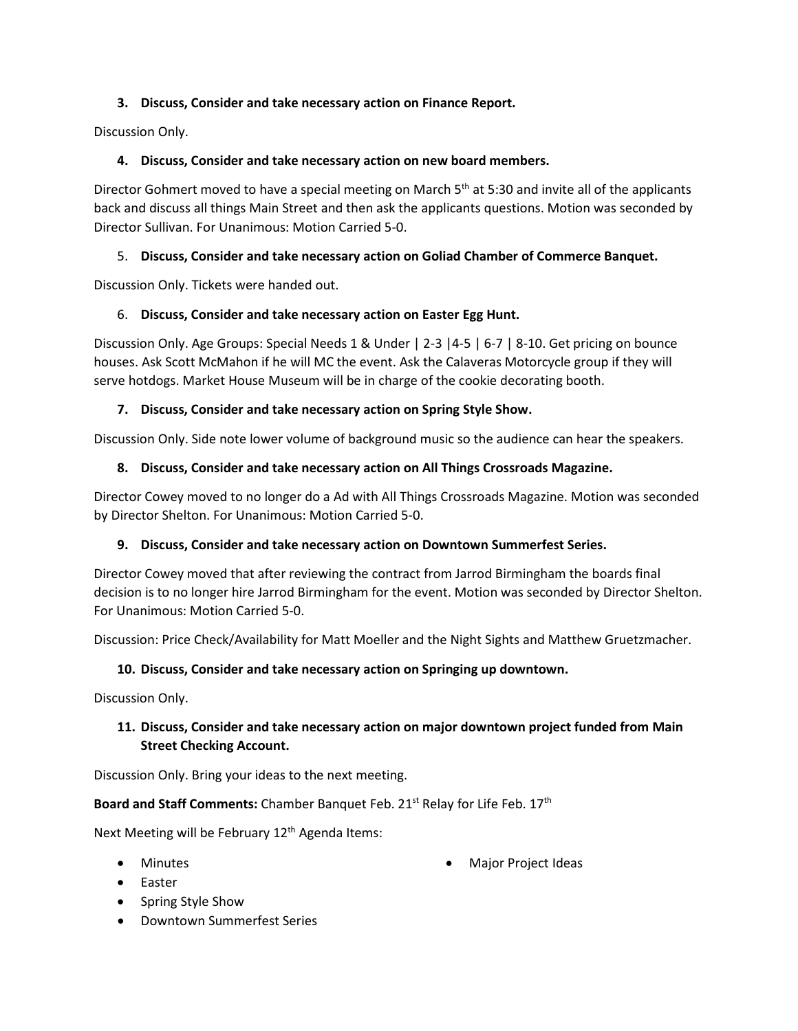## **3. Discuss, Consider and take necessary action on Finance Report.**

Discussion Only.

### **4. Discuss, Consider and take necessary action on new board members.**

Director Gohmert moved to have a special meeting on March  $5<sup>th</sup>$  at 5:30 and invite all of the applicants back and discuss all things Main Street and then ask the applicants questions. Motion was seconded by Director Sullivan. For Unanimous: Motion Carried 5-0.

#### 5. **Discuss, Consider and take necessary action on Goliad Chamber of Commerce Banquet.**

Discussion Only. Tickets were handed out.

#### 6. **Discuss, Consider and take necessary action on Easter Egg Hunt.**

Discussion Only. Age Groups: Special Needs 1 & Under | 2-3 |4-5 | 6-7 | 8-10. Get pricing on bounce houses. Ask Scott McMahon if he will MC the event. Ask the Calaveras Motorcycle group if they will serve hotdogs. Market House Museum will be in charge of the cookie decorating booth.

#### **7. Discuss, Consider and take necessary action on Spring Style Show.**

Discussion Only. Side note lower volume of background music so the audience can hear the speakers.

#### **8. Discuss, Consider and take necessary action on All Things Crossroads Magazine.**

Director Cowey moved to no longer do a Ad with All Things Crossroads Magazine. Motion was seconded by Director Shelton. For Unanimous: Motion Carried 5-0.

## **9. Discuss, Consider and take necessary action on Downtown Summerfest Series.**

Director Cowey moved that after reviewing the contract from Jarrod Birmingham the boards final decision is to no longer hire Jarrod Birmingham for the event. Motion was seconded by Director Shelton. For Unanimous: Motion Carried 5-0.

Discussion: Price Check/Availability for Matt Moeller and the Night Sights and Matthew Gruetzmacher.

## **10. Discuss, Consider and take necessary action on Springing up downtown.**

Discussion Only.

## **11. Discuss, Consider and take necessary action on major downtown project funded from Main Street Checking Account.**

Discussion Only. Bring your ideas to the next meeting.

#### **Board and Staff Comments:** Chamber Banquet Feb. 21<sup>st</sup> Relay for Life Feb. 17<sup>th</sup>

Next Meeting will be February 12<sup>th</sup> Agenda Items:

- Minutes
- Easter
- Spring Style Show
- Downtown Summerfest Series

• Major Project Ideas